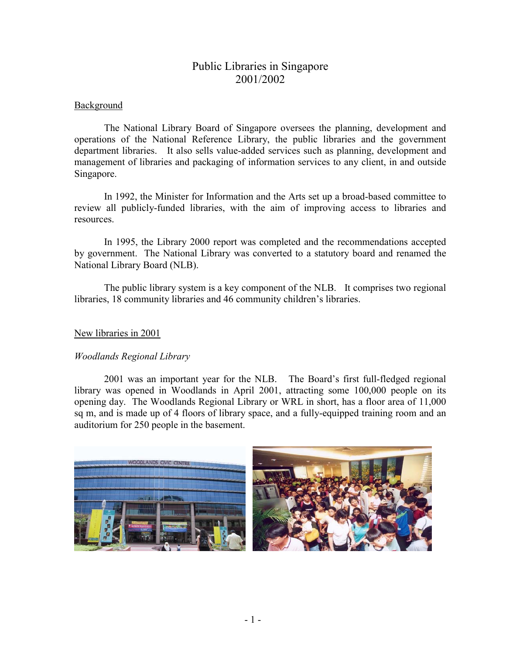# Public Libraries in Singapore 2001/2002

## **Background**

The National Library Board of Singapore oversees the planning, development and operations of the National Reference Library, the public libraries and the government department libraries. It also sells value-added services such as planning, development and management of libraries and packaging of information services to any client, in and outside Singapore.

In 1992, the Minister for Information and the Arts set up a broad-based committee to review all publicly-funded libraries, with the aim of improving access to libraries and resources.

In 1995, the Library 2000 report was completed and the recommendations accepted by government. The National Library was converted to a statutory board and renamed the National Library Board (NLB).

The public library system is a key component of the NLB. It comprises two regional libraries, 18 community libraries and 46 community children's libraries.

### New libraries in 2001

## *Woodlands Regional Library*

2001 was an important year for the NLB. The Board's first full-fledged regional library was opened in Woodlands in April 2001, attracting some 100,000 people on its opening day. The Woodlands Regional Library or WRL in short, has a floor area of 11,000 sq m, and is made up of 4 floors of library space, and a fully-equipped training room and an auditorium for 250 people in the basement.

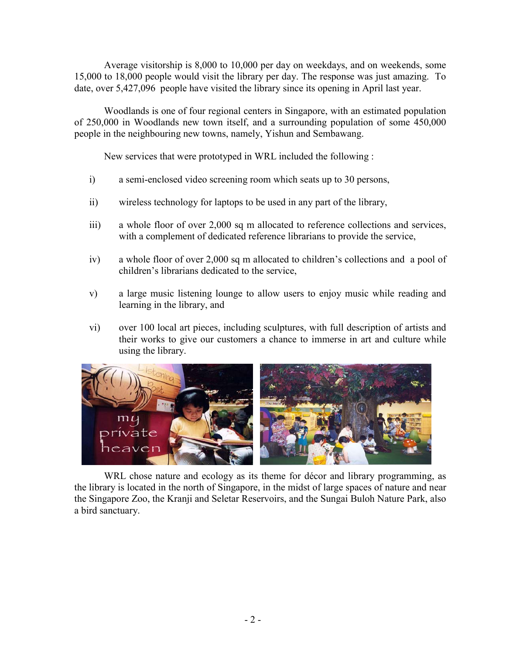Average visitorship is 8,000 to 10,000 per day on weekdays, and on weekends, some 15,000 to 18,000 people would visit the library per day. The response was just amazing. To date, over 5,427,096 people have visited the library since its opening in April last year.

Woodlands is one of four regional centers in Singapore, with an estimated population of 250,000 in Woodlands new town itself, and a surrounding population of some 450,000 people in the neighbouring new towns, namely, Yishun and Sembawang.

New services that were prototyped in WRL included the following :

- i) a semi-enclosed video screening room which seats up to 30 persons,
- ii) wireless technology for laptops to be used in any part of the library,
- iii) a whole floor of over 2,000 sq m allocated to reference collections and services, with a complement of dedicated reference librarians to provide the service,
- iv) a whole floor of over 2,000 sq m allocated to children's collections and a pool of children's librarians dedicated to the service,
- v) a large music listening lounge to allow users to enjoy music while reading and learning in the library, and
- vi) over 100 local art pieces, including sculptures, with full description of artists and their works to give our customers a chance to immerse in art and culture while using the library.



WRL chose nature and ecology as its theme for décor and library programming, as the library is located in the north of Singapore, in the midst of large spaces of nature and near the Singapore Zoo, the Kranji and Seletar Reservoirs, and the Sungai Buloh Nature Park, also a bird sanctuary.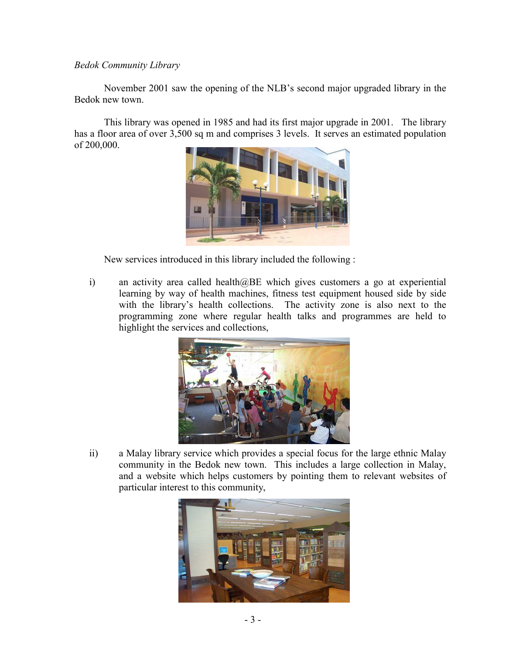#### *Bedok Community Library*

November 2001 saw the opening of the NLB's second major upgraded library in the Bedok new town.

This library was opened in 1985 and had its first major upgrade in 2001. The library has a floor area of over 3,500 sq m and comprises 3 levels. It serves an estimated population of 200,000.



New services introduced in this library included the following :

i) an activity area called health@BE which gives customers a go at experiential learning by way of health machines, fitness test equipment housed side by side with the library's health collections. The activity zone is also next to the programming zone where regular health talks and programmes are held to highlight the services and collections,



ii) a Malay library service which provides a special focus for the large ethnic Malay community in the Bedok new town. This includes a large collection in Malay, and a website which helps customers by pointing them to relevant websites of particular interest to this community,

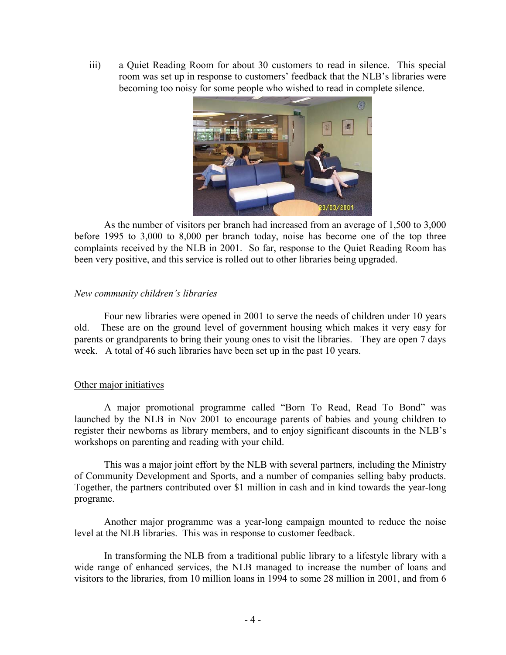iii) a Quiet Reading Room for about 30 customers to read in silence. This special room was set up in response to customers' feedback that the NLB's libraries were becoming too noisy for some people who wished to read in complete silence.



As the number of visitors per branch had increased from an average of 1,500 to 3,000 before 1995 to 3,000 to 8,000 per branch today, noise has become one of the top three complaints received by the NLB in 2001. So far, response to the Quiet Reading Room has been very positive, and this service is rolled out to other libraries being upgraded.

#### *New community children's libraries*

Four new libraries were opened in 2001 to serve the needs of children under 10 years old. These are on the ground level of government housing which makes it very easy for parents or grandparents to bring their young ones to visit the libraries. They are open 7 days week. A total of 46 such libraries have been set up in the past 10 years.

## Other major initiatives

A major promotional programme called "Born To Read, Read To Bond" was launched by the NLB in Nov 2001 to encourage parents of babies and young children to register their newborns as library members, and to enjoy significant discounts in the NLB's workshops on parenting and reading with your child.

This was a major joint effort by the NLB with several partners, including the Ministry of Community Development and Sports, and a number of companies selling baby products. Together, the partners contributed over \$1 million in cash and in kind towards the year-long programe.

Another major programme was a year-long campaign mounted to reduce the noise level at the NLB libraries. This was in response to customer feedback.

In transforming the NLB from a traditional public library to a lifestyle library with a wide range of enhanced services, the NLB managed to increase the number of loans and visitors to the libraries, from 10 million loans in 1994 to some 28 million in 2001, and from 6